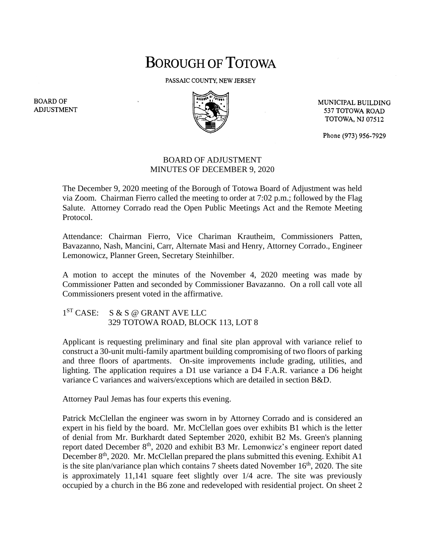## **BOROUGH OF TOTOWA**

PASSAIC COUNTY, NEW JERSEY



MUNICIPAL BUILDING 537 TOTOWA ROAD **TOTOWA, NJ 07512** 

Phone (973) 956-7929

## BOARD OF ADJUSTMENT MINUTES OF DECEMBER 9, 2020

The December 9, 2020 meeting of the Borough of Totowa Board of Adjustment was held via Zoom. Chairman Fierro called the meeting to order at 7:02 p.m.; followed by the Flag Salute. Attorney Corrado read the Open Public Meetings Act and the Remote Meeting Protocol.

Attendance: Chairman Fierro, Vice Chariman Krautheim, Commissioners Patten, Bavazanno, Nash, Mancini, Carr, Alternate Masi and Henry, Attorney Corrado., Engineer Lemonowicz, Planner Green, Secretary Steinhilber.

A motion to accept the minutes of the November 4, 2020 meeting was made by Commissioner Patten and seconded by Commissioner Bavazanno. On a roll call vote all Commissioners present voted in the affirmative.

1<sup>ST</sup> CASE: S & S @ GRANT AVE LLC 329 TOTOWA ROAD, BLOCK 113, LOT 8

Applicant is requesting preliminary and final site plan approval with variance relief to construct a 30-unit multi-family apartment building compromising of two floors of parking and three floors of apartments. On-site improvements include grading, utilities, and lighting. The application requires a D1 use variance a D4 F.A.R. variance a D6 height variance C variances and waivers/exceptions which are detailed in section B&D.

Attorney Paul Jemas has four experts this evening.

Patrick McClellan the engineer was sworn in by Attorney Corrado and is considered an expert in his field by the board. Mr. McClellan goes over exhibits B1 which is the letter of denial from Mr. Burkhardt dated September 2020, exhibit B2 Ms. Green's planning report dated December 8<sup>th</sup>, 2020 and exhibit B3 Mr. Lemonwicz's engineer report dated December  $8<sup>th</sup>$ , 2020. Mr. McClellan prepared the plans submitted this evening. Exhibit A1 is the site plan/variance plan which contains  $7$  sheets dated November  $16<sup>th</sup>$ , 2020. The site is approximately 11,141 square feet slightly over 1/4 acre. The site was previously occupied by a church in the B6 zone and redeveloped with residential project. On sheet 2

**BOARD OF ADJUSTMENT**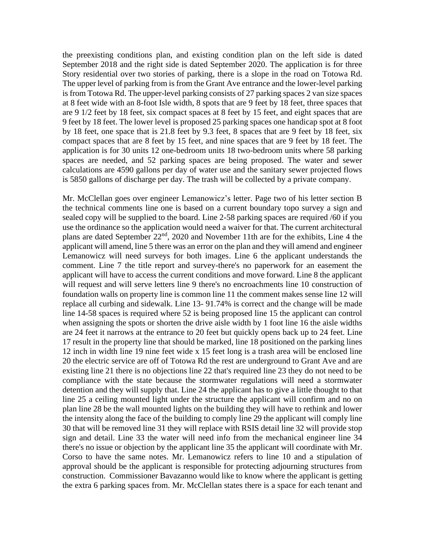the preexisting conditions plan, and existing condition plan on the left side is dated September 2018 and the right side is dated September 2020. The application is for three Story residential over two stories of parking, there is a slope in the road on Totowa Rd. The upper level of parking from is from the Grant Ave entrance and the lower-level parking is from Totowa Rd. The upper-level parking consists of 27 parking spaces 2 van size spaces at 8 feet wide with an 8-foot Isle width, 8 spots that are 9 feet by 18 feet, three spaces that are 9 1/2 feet by 18 feet, six compact spaces at 8 feet by 15 feet, and eight spaces that are 9 feet by 18 feet. The lower level is proposed 25 parking spaces one handicap spot at 8 foot by 18 feet, one space that is 21.8 feet by 9.3 feet, 8 spaces that are 9 feet by 18 feet, six compact spaces that are 8 feet by 15 feet, and nine spaces that are 9 feet by 18 feet. The application is for 30 units 12 one-bedroom units 18 two-bedroom units where 58 parking spaces are needed, and 52 parking spaces are being proposed. The water and sewer calculations are 4590 gallons per day of water use and the sanitary sewer projected flows is 5850 gallons of discharge per day. The trash will be collected by a private company.

Mr. McClellan goes over engineer Lemanowicz's letter. Page two of his letter section B the technical comments line one is based on a current boundary topo survey a sign and sealed copy will be supplied to the board. Line 2-58 parking spaces are required /60 if you use the ordinance so the application would need a waiver for that. The current architectural plans are dated September 22<sup>nd</sup>, 2020 and November 11th are for the exhibits, Line 4 the applicant will amend, line 5 there was an error on the plan and they will amend and engineer Lemanowicz will need surveys for both images. Line 6 the applicant understands the comment. Line 7 the title report and survey-there's no paperwork for an easement the applicant will have to access the current conditions and move forward. Line 8 the applicant will request and will serve letters line 9 there's no encroachments line 10 construction of foundation walls on property line is common line 11 the comment makes sense line 12 will replace all curbing and sidewalk. Line 13- 91.74% is correct and the change will be made line 14-58 spaces is required where 52 is being proposed line 15 the applicant can control when assigning the spots or shorten the drive aisle width by 1 foot line 16 the aisle widths are 24 feet it narrows at the entrance to 20 feet but quickly opens back up to 24 feet. Line 17 result in the property line that should be marked, line 18 positioned on the parking lines 12 inch in width line 19 nine feet wide x 15 feet long is a trash area will be enclosed line 20 the electric service are off of Totowa Rd the rest are underground to Grant Ave and are existing line 21 there is no objections line 22 that's required line 23 they do not need to be compliance with the state because the stormwater regulations will need a stormwater detention and they will supply that. Line 24 the applicant has to give a little thought to that line 25 a ceiling mounted light under the structure the applicant will confirm and no on plan line 28 be the wall mounted lights on the building they will have to rethink and lower the intensity along the face of the building to comply line 29 the applicant will comply line 30 that will be removed line 31 they will replace with RSIS detail line 32 will provide stop sign and detail. Line 33 the water will need info from the mechanical engineer line 34 there's no issue or objection by the applicant line 35 the applicant will coordinate with Mr. Corso to have the same notes. Mr. Lemanowicz refers to line 10 and a stipulation of approval should be the applicant is responsible for protecting adjourning structures from construction. Commissioner Bavazanno would like to know where the applicant is getting the extra 6 parking spaces from. Mr. McClellan states there is a space for each tenant and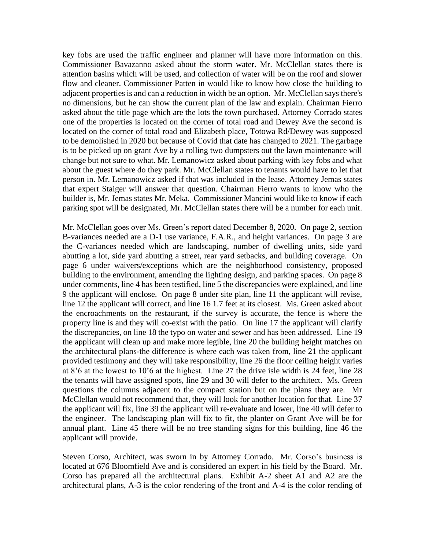key fobs are used the traffic engineer and planner will have more information on this. Commissioner Bavazanno asked about the storm water. Mr. McClellan states there is attention basins which will be used, and collection of water will be on the roof and slower flow and cleaner. Commissioner Patten in would like to know how close the building to adjacent properties is and can a reduction in width be an option. Mr. McClellan says there's no dimensions, but he can show the current plan of the law and explain. Chairman Fierro asked about the title page which are the lots the town purchased. Attorney Corrado states one of the properties is located on the corner of total road and Dewey Ave the second is located on the corner of total road and Elizabeth place, Totowa Rd/Dewey was supposed to be demolished in 2020 but because of Covid that date has changed to 2021. The garbage is to be picked up on grant Ave by a rolling two dumpsters out the lawn maintenance will change but not sure to what. Mr. Lemanowicz asked about parking with key fobs and what about the guest where do they park. Mr. McClellan states to tenants would have to let that person in. Mr. Lemanowicz asked if that was included in the lease. Attorney Jemas states that expert Staiger will answer that question. Chairman Fierro wants to know who the builder is, Mr. Jemas states Mr. Meka. Commissioner Mancini would like to know if each parking spot will be designated, Mr. McClellan states there will be a number for each unit.

Mr. McClellan goes over Ms. Green's report dated December 8, 2020. On page 2, section B-variances needed are a D-1 use variance, F.A.R., and height variances. On page 3 are the C-variances needed which are landscaping, number of dwelling units, side yard abutting a lot, side yard abutting a street, rear yard setbacks, and building coverage. On page 6 under waivers/exceptions which are the neighborhood consistency, proposed building to the environment, amending the lighting design, and parking spaces. On page 8 under comments, line 4 has been testified, line 5 the discrepancies were explained, and line 9 the applicant will enclose. On page 8 under site plan, line 11 the applicant will revise, line 12 the applicant will correct, and line 16 1.7 feet at its closest. Ms. Green asked about the encroachments on the restaurant, if the survey is accurate, the fence is where the property line is and they will co-exist with the patio. On line 17 the applicant will clarify the discrepancies, on line 18 the typo on water and sewer and has been addressed. Line 19 the applicant will clean up and make more legible, line 20 the building height matches on the architectural plans-the difference is where each was taken from, line 21 the applicant provided testimony and they will take responsibility, line 26 the floor ceiling height varies at 8'6 at the lowest to 10'6 at the highest. Line 27 the drive isle width is 24 feet, line 28 the tenants will have assigned spots, line 29 and 30 will defer to the architect. Ms. Green questions the columns adjacent to the compact station but on the plans they are. Mr McClellan would not recommend that, they will look for another location for that. Line 37 the applicant will fix, line 39 the applicant will re-evaluate and lower, line 40 will defer to the engineer. The landscaping plan will fix to fit, the planter on Grant Ave will be for annual plant. Line 45 there will be no free standing signs for this building, line 46 the applicant will provide.

Steven Corso, Architect, was sworn in by Attorney Corrado. Mr. Corso's business is located at 676 Bloomfield Ave and is considered an expert in his field by the Board. Mr. Corso has prepared all the architectural plans. Exhibit A-2 sheet A1 and A2 are the architectural plans, A-3 is the color rendering of the front and A-4 is the color rending of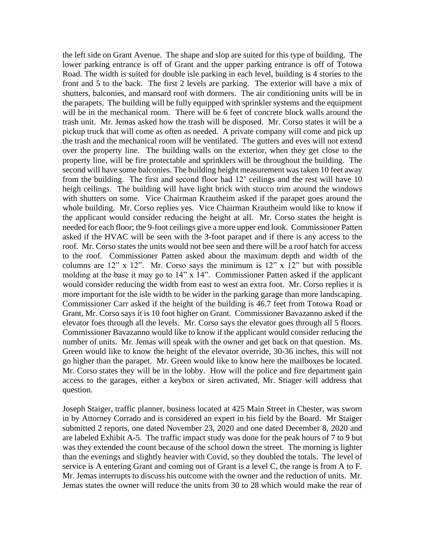the left side on Grant Avenue. The shape and slop are suited for this type of building. The lower parking entrance is off of Grant and the upper parking entrance is off of Totowa Road. The width is suited for double isle parking in each level, building is 4 stories to the front and 5 to the back. The first 2 levels are parking. The exterior will have a mix of shutters, balconies, and mansard roof with dormers. The air conditioning units will be in the parapets. The building will be fully equipped with sprinkler systems and the equipment will be in the mechanical room. There will be 6 feet of concrete block walls around the trash unit. Mr. Jemas asked how the trash will be disposed. Mr. Corso states it will be a pickup truck that will come as often as needed. A private company will come and pick up the trash and the mechanical room will be ventilated. The gutters and eves will not extend over the property line. The building walls on the exterior, when they get close to the property line, will be fire protectable and sprinklers will be throughout the building. The second will have some balconies. The building height measurement was taken 10 feet away from the building. The first and second floor had 12' ceilings and the rest will have 10 heigh ceilings. The building will have light brick with stucco trim around the windows with shutters on some. Vice Chairman Krautheim asked if the parapet goes around the whole building. Mr. Corso replies yes. Vice Chairman Krautheim would like to know if the applicant would consider reducing the height at all. Mr. Corso states the height is needed for each floor; the 9-foot ceilings give a more upper end look. Commissioner Patten asked if the HVAC will be seen with the 3-foot parapet and if there is any access to the roof. Mr. Corso states the units would not bee seen and there will be a roof hatch for access to the roof. Commissioner Patten asked about the maximum depth and width of the columns are  $12$ " x  $12$ ". Mr. Corso says the minimum is  $12$ " x  $12$ " but with possible molding at the base it may go to 14" x 14". Commissioner Patten asked if the applicant would consider reducing the width from east to west an extra foot. Mr. Corso replies it is more important for the isle width to be wider in the parking garage than more landscaping. Commissioner Carr asked if the height of the building is 46.7 feet from Totowa Road or Grant, Mr. Corso says it is 10 foot higher on Grant. Commissioner Bavazanno asked if the elevator foes through all the levels. Mr. Corso says the elevator goes through all 5 floors. Commissioner Bavazanno would like to know if the applicant would consider reducing the number of units. Mr. Jemas will speak with the owner and get back on that question. Ms. Green would like to know the height of the elevator override, 30-36 inches, this will not go higher than the parapet. Mr. Green would like to know here the mailboxes be located. Mr. Corso states they will be in the lobby. How will the police and fire department gain access to the garages, either a keybox or siren activated, Mr. Stiager will address that question.

Joseph Staiger, traffic planner, business located at 425 Main Street in Chester, was sworn in by Attorney Corrado and is considered an expert in his field by the Board. Mr Staiger submitted 2 reports, one dated November 23, 2020 and one dated December 8, 2020 and are labeled Exhibit A-5. The traffic impact study was done for the peak hours of 7 to 9 but was they extended the count because of the school down the street. The morning is lighter than the evenings and slightly heavier with Covid, so they doubled the totals. The level of service is A entering Grant and coming out of Grant is a level C, the range is from A to F. Mr. Jemas interrupts to discuss his outcome with the owner and the reduction of units. Mr. Jemas states the owner will reduce the units from 30 to 28 which would make the rear of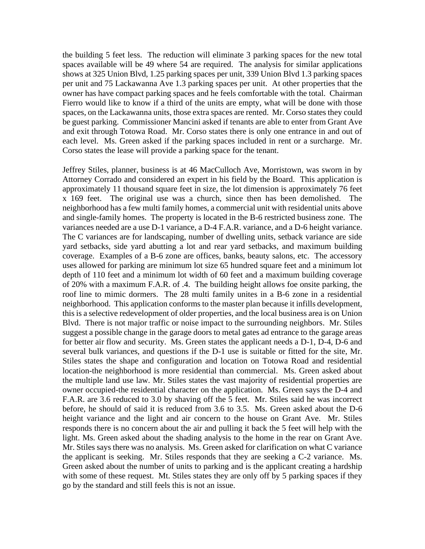the building 5 feet less. The reduction will eliminate 3 parking spaces for the new total spaces available will be 49 where 54 are required. The analysis for similar applications shows at 325 Union Blvd, 1.25 parking spaces per unit, 339 Union Blvd 1.3 parking spaces per unit and 75 Lackawanna Ave 1.3 parking spaces per unit. At other properties that the owner has have compact parking spaces and he feels comfortable with the total. Chairman Fierro would like to know if a third of the units are empty, what will be done with those spaces, on the Lackawanna units, those extra spaces are rented. Mr. Corso states they could be guest parking. Commissioner Mancini asked if tenants are able to enter from Grant Ave and exit through Totowa Road. Mr. Corso states there is only one entrance in and out of each level. Ms. Green asked if the parking spaces included in rent or a surcharge. Mr. Corso states the lease will provide a parking space for the tenant.

Jeffrey Stiles, planner, business is at 46 MacCulloch Ave, Morristown, was sworn in by Attorney Corrado and considered an expert in his field by the Board. This application is approximately 11 thousand square feet in size, the lot dimension is approximately 76 feet x 169 feet. The original use was a church, since then has been demolished. The neighborhood has a few multi family homes, a commercial unit with residential units above and single-family homes. The property is located in the B-6 restricted business zone. The variances needed are a use D-1 variance, a D-4 F.A.R. variance, and a D-6 height variance. The C variances are for landscaping, number of dwelling units, setback variance are side yard setbacks, side yard abutting a lot and rear yard setbacks, and maximum building coverage. Examples of a B-6 zone are offices, banks, beauty salons, etc. The accessory uses allowed for parking are minimum lot size 65 hundred square feet and a minimum lot depth of 110 feet and a minimum lot width of 60 feet and a maximum building coverage of 20% with a maximum F.A.R. of .4. The building height allows foe onsite parking, the roof line to mimic dormers. The 28 multi family unites in a B-6 zone in a residential neighborhood. This application conforms to the master plan because it infills development, this is a selective redevelopment of older properties, and the local business area is on Union Blvd. There is not major traffic or noise impact to the surrounding neighbors. Mr. Stiles suggest a possible change in the garage doors to metal gates ad entrance to the garage areas for better air flow and security. Ms. Green states the applicant needs a D-1, D-4, D-6 and several bulk variances, and questions if the D-1 use is suitable or fitted for the site, Mr. Stiles states the shape and configuration and location on Totowa Road and residential location-the neighborhood is more residential than commercial. Ms. Green asked about the multiple land use law. Mr. Stiles states the vast majority of residential properties are owner occupied-the residential character on the application. Ms. Green says the D-4 and F.A.R. are 3.6 reduced to 3.0 by shaving off the 5 feet. Mr. Stiles said he was incorrect before, he should of said it is reduced from 3.6 to 3.5. Ms. Green asked about the D-6 height variance and the light and air concern to the house on Grant Ave. Mr. Stiles responds there is no concern about the air and pulling it back the 5 feet will help with the light. Ms. Green asked about the shading analysis to the home in the rear on Grant Ave. Mr. Stiles says there was no analysis. Ms. Green asked for clarification on what C variance the applicant is seeking. Mr. Stiles responds that they are seeking a C-2 variance. Ms. Green asked about the number of units to parking and is the applicant creating a hardship with some of these request. Mt. Stiles states they are only off by 5 parking spaces if they go by the standard and still feels this is not an issue.